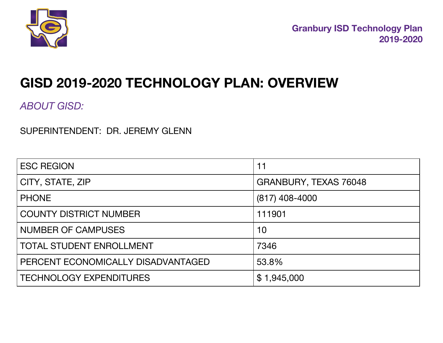

# **GISD 2019-2020 TECHNOLOGY PLAN: OVERVIEW**

*ABOUT GISD:*

SUPERINTENDENT: DR. JEREMY GLENN

| <b>ESC REGION</b>                  | 11                    |
|------------------------------------|-----------------------|
| CITY, STATE, ZIP                   | GRANBURY, TEXAS 76048 |
| <b>PHONE</b>                       | $(817)$ 408-4000      |
| <b>COUNTY DISTRICT NUMBER</b>      | 111901                |
| <b>NUMBER OF CAMPUSES</b>          | 10                    |
| <b>TOTAL STUDENT ENROLLMENT</b>    | 7346                  |
| PERCENT ECONOMICALLY DISADVANTAGED | 53.8%                 |
| <b>TECHNOLOGY EXPENDITURES</b>     | \$1,945,000           |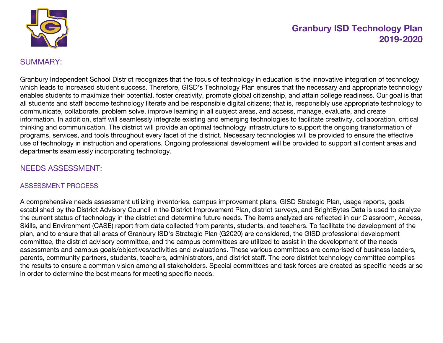

## SUMMARY:

Granbury Independent School District recognizes that the focus of technology in education is the innovative integration of technology which leads to increased student success. Therefore, GISD's Technology Plan ensures that the necessary and appropriate technology enables students to maximize their potential, foster creativity, promote global citizenship, and attain college readiness. Our goal is that all students and staff become technology literate and be responsible digital citizens; that is, responsibly use appropriate technology to communicate, collaborate, problem solve, improve learning in all subject areas, and access, manage, evaluate, and create information. In addition, staff will seamlessly integrate existing and emerging technologies to facilitate creativity, collaboration, critical thinking and communication. The district will provide an optimal technology infrastructure to support the ongoing transformation of programs, services, and tools throughout every facet of the district. Necessary technologies will be provided to ensure the effective use of technology in instruction and operations. Ongoing professional development will be provided to support all content areas and departments seamlessly incorporating technology.

## NEEDS ASSESSMENT:

#### ASSESSMENT PROCESS

A comprehensive needs assessment utilizing inventories, campus improvement plans, GISD Strategic Plan, usage reports, goals established by the District Advisory Council in the District Improvement Plan, district surveys, and BrightBytes Data is used to analyze the current status of technology in the district and determine future needs. The items analyzed are reflected in our Classroom, Access, Skills, and Environment (CASE) report from data collected from parents, students, and teachers. To facilitate the development of the plan, and to ensure that all areas of Granbury ISD's Strategic Plan (G2020) are considered, the GISD professional development committee, the district advisory committee, and the campus committees are utilized to assist in the development of the needs assessments and campus goals/objectives/activities and evaluations. These various committees are comprised of business leaders, parents, community partners, students, teachers, administrators, and district staff. The core district technology committee compiles the results to ensure a common vision among all stakeholders. Special committees and task forces are created as specific needs arise in order to determine the best means for meeting specific needs.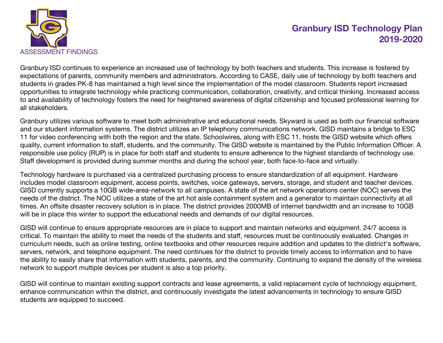

Granbury ISD continues to experience an increased use of technology by both teachers and students. This increase is fostered by expectations of parents, community members and administrators. According to CASE, daily use of technology by both teachers and students in grades PK-8 has maintained a high level since the implementation of the model classroom. Students report increased opportunities to integrate technology while practicing communication, collaboration, creativity, and critical thinking. Increased access to and availability of technology fosters the need for heightened awareness of digital citizenship and focused professional learning for all stakeholders.

Granbury utilizes various software to meet both administrative and educational needs. Skyward is used as both our financial software and our student information systems. The district utilizes an IP telephony communications network. GISD maintains a bridge to ESC 11 for video conferencing with both the region and the state. Schoolwires, along with ESC 11, hosts the GISD website which offers quality, current information to staff, students, and the community. The GISD website is maintained by the Public Information Officer. A responsible use policy (RUP) is in place for both staff and students to ensure adherence to the highest standards of technology use. Staff development is provided during summer months and during the school year, both face-to-face and virtually.

Technology hardware is purchased via a centralized purchasing process to ensure standardization of all equipment. Hardware includes model classroom equipment, access points, switches, voice gateways, servers, storage, and student and teacher devices. GISD currently supports a 10GB wide-area-network to all campuses. A state of the art network operations center (NOC) serves the needs of the district. The NOC utilizes a state of the art hot aisle containment system and a generator to maintain connectivity at all times. An offsite disaster recovery solution is in place. The district provides 2000MB of internet bandwidth and an increase to 10GB will be in place this winter to support the educational needs and demands of our digital resources.

GISD will continue to ensure appropriate resources are in place to support and maintain networks and equipment. 24/7 access is critical. To maintain the ability to meet the needs of the students and staff, resources must be continuously evaluated. Changes in curriculum needs, such as online testing, online textbooks and other resources require addition and updates to the district's software, servers, network, and telephone equipment. The need continues for the district to provide timely access to information and to have the ability to easily share that information with students, parents, and the community. Continuing to expand the density of the wireless network to support multiple devices per student is also a top priority.

GISD will continue to maintain existing support contracts and lease agreements, a valid replacement cycle of technology equipment, enhance communication within the district, and continuously investigate the latest advancements in technology to ensure GISD students are equipped to succeed.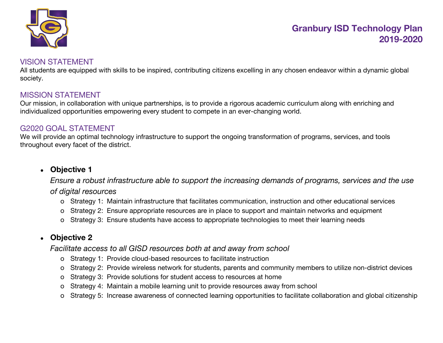

## VISION STATEMENT

All students are equipped with skills to be inspired, contributing citizens excelling in any chosen endeavor within a dynamic global society.

## MISSION STATEMENT

Our mission, in collaboration with unique partnerships, is to provide a rigorous academic curriculum along with enriching and individualized opportunities empowering every student to compete in an ever-changing world.

#### G2020 GOAL STATEMENT

We will provide an optimal technology infrastructure to support the ongoing transformation of programs, services, and tools throughout every facet of the district.

## ● **Objective 1**

*Ensure a robust infrastructure able to support the increasing demands of programs, services and the use of digital resources*

- o Strategy 1: Maintain infrastructure that facilitates communication, instruction and other educational services
- o Strategy 2: Ensure appropriate resources are in place to support and maintain networks and equipment
- o Strategy 3: Ensure students have access to appropriate technologies to meet their learning needs

## ● **Objective 2**

*Facilitate access to all GISD resources both at and away from school*

- o Strategy 1: Provide cloud-based resources to facilitate instruction
- o Strategy 2: Provide wireless network for students, parents and community members to utilize non-district devices
- o Strategy 3: Provide solutions for student access to resources at home
- o Strategy 4: Maintain a mobile learning unit to provide resources away from school
- o Strategy 5: Increase awareness of connected learning opportunities to facilitate collaboration and global citizenship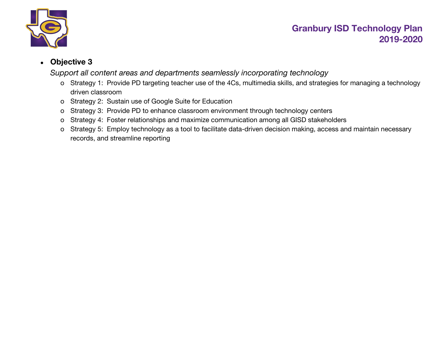

## ● **Objective 3**

*Support all content areas and departments seamlessly incorporating technology*

- o Strategy 1: Provide PD targeting teacher use of the 4Cs, multimedia skills, and strategies for managing a technology driven classroom
- o Strategy 2: Sustain use of Google Suite for Education
- o Strategy 3: Provide PD to enhance classroom environment through technology centers
- o Strategy 4: Foster relationships and maximize communication among all GISD stakeholders
- o Strategy 5: Employ technology as a tool to facilitate data-driven decision making, access and maintain necessary records, and streamline reporting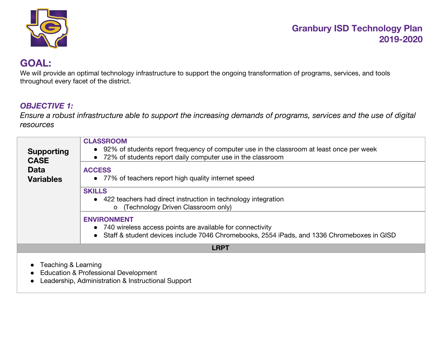

# **GOAL:**

We will provide an optimal technology infrastructure to support the ongoing transformation of programs, services, and tools throughout every facet of the district.

## *OBJECTIVE 1:*

Ensure a robust infrastructure able to support the increasing demands of programs, services and the use of digital *resources*

| <b>Supporting</b><br><b>CASE</b> | <b>CLASSROOM</b><br>• 92% of students report frequency of computer use in the classroom at least once per week<br>• 72% of students report daily computer use in the classroom    |
|----------------------------------|-----------------------------------------------------------------------------------------------------------------------------------------------------------------------------------|
| <b>Data</b><br><b>Variables</b>  | <b>ACCESS</b><br>• 77% of teachers report high quality internet speed                                                                                                             |
|                                  | <b>SKILLS</b><br>• 422 teachers had direct instruction in technology integration<br>o (Technology Driven Classroom only)                                                          |
|                                  | <b>ENVIRONMENT</b><br>• 740 wireless access points are available for connectivity<br>• Staff & student devices include 7046 Chromebooks, 2554 iPads, and 1336 Chromeboxes in GISD |
|                                  | <b>LRPT</b>                                                                                                                                                                       |
| Teaching & Learning              | <b>Education &amp; Professional Development</b><br>Leadership, Administration & Instructional Support                                                                             |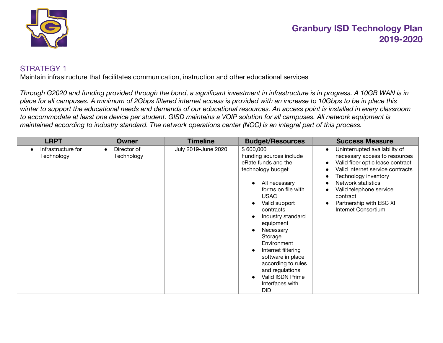

## STRATEGY 1

Maintain infrastructure that facilitates communication, instruction and other educational services

*Through G2020 and funding provided through the bond, a significant investment in infrastructure is in progress. A 10GB WAN is in place for all campuses. A minimum of 2Gbps filtered internet access is provided with an increase to 10Gbps to be in place this winter to support the educational needs and demands of our educational resources. An access point is installed in every classroom to accommodate at least one device per student. GISD maintains a VOIP solution for all campuses. All network equipment is maintained according to industry standard. The network operations center (NOC) is an integral part of this process.*

| <b>LRPT</b>                      | <b>Owner</b>                           | <b>Timeline</b>     | <b>Budget/Resources</b>                                                                                                                                                                                                                                                                                                                                                                | <b>Success Measure</b>                                                                                                                                                                                                                                                                                               |
|----------------------------------|----------------------------------------|---------------------|----------------------------------------------------------------------------------------------------------------------------------------------------------------------------------------------------------------------------------------------------------------------------------------------------------------------------------------------------------------------------------------|----------------------------------------------------------------------------------------------------------------------------------------------------------------------------------------------------------------------------------------------------------------------------------------------------------------------|
| Infrastructure for<br>Technology | Director of<br>$\bullet$<br>Technology | July 2019-June 2020 | \$600,000<br>Funding sources include<br>eRate funds and the<br>technology budget<br>All necessary<br>forms on file with<br><b>USAC</b><br>Valid support<br>contracts<br>Industry standard<br>equipment<br>Necessary<br>Storage<br>Environment<br>Internet filtering<br>software in place<br>according to rules<br>and regulations<br>Valid ISDN Prime<br>Interfaces with<br><b>DID</b> | Uninterrupted availability of<br>$\bullet$<br>necessary access to resources<br>Valid fiber optic lease contract<br>$\bullet$<br>Valid internet service contracts<br>Technology inventory<br>Network statistics<br>Valid telephone service<br>contract<br>Partnership with ESC XI<br>$\bullet$<br>Internet Consortium |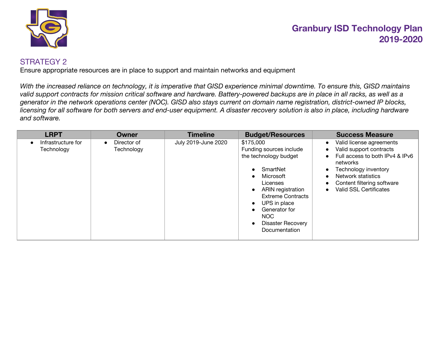

## STRATEGY 2

Ensure appropriate resources are in place to support and maintain networks and equipment

*With the increased reliance on technology, it is imperative that GISD experience minimal downtime. To ensure this, GISD maintains valid support contracts for mission critical software and hardware. Battery-powered backups are in place in all racks, as well as a generator in the network operations center (NOC). GISD also stays current on domain name registration, district-owned IP blocks, licensing for all software for both servers and end-user equipment. A disaster recovery solution is also in place, including hardware and software.*

| <b>LRPT</b>                      | <b>Owner</b>                           | <b>Timeline</b>     | <b>Budget/Resources</b>                                                                                                                                                                                                                          | <b>Success Measure</b>                                                                                                                                                                                                                                                                              |
|----------------------------------|----------------------------------------|---------------------|--------------------------------------------------------------------------------------------------------------------------------------------------------------------------------------------------------------------------------------------------|-----------------------------------------------------------------------------------------------------------------------------------------------------------------------------------------------------------------------------------------------------------------------------------------------------|
| Infrastructure for<br>Technology | Director of<br>$\bullet$<br>Technology | July 2019-June 2020 | \$175,000<br>Funding sources include<br>the technology budget<br>SmartNet<br>Microsoft<br>Licenses<br><b>ARIN</b> registration<br><b>Extreme Contracts</b><br>UPS in place<br>Generator for<br>NOC.<br><b>Disaster Recovery</b><br>Documentation | Valid license agreements<br>$\bullet$<br>Valid support contracts<br>$\bullet$<br>Full access to both IPv4 & IPv6<br>$\bullet$<br>networks<br>Technology inventory<br>$\bullet$<br>Network statistics<br>$\bullet$<br>Content filtering software<br>$\bullet$<br>Valid SSL Certificates<br>$\bullet$ |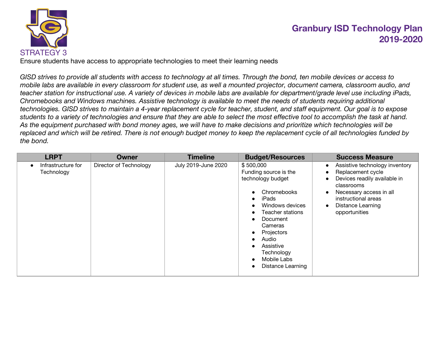

Ensure students have access to appropriate technologies to meet their learning needs

*GISD strives to provide all students with access to technology at all times. Through the bond, ten mobile devices or access to mobile labs are available in every classroom for student use, as well a mounted projector, document camera, classroom audio, and teacher station for instructional use. A variety of devices in mobile labs are available for department/grade level use including iPads, Chromebooks and Windows machines. Assistive technology is available to meet the needs of students requiring additional technologies. GISD strives to maintain a 4-year replacement cycle for teacher, student, and staff equipment. Our goal is to expose students to a variety of technologies and ensure that they are able to select the most effective tool to accomplish the task at hand. As the equipment purchased with bond money ages, we will have to make decisions and prioritize which technologies will be replaced and which will be retired. There is not enough budget money to keep the replacement cycle of all technologies funded by the bond.*

| <b>LRPT</b>                      | Owner                  | <b>Timeline</b>     | <b>Budget/Resources</b>                                                                                                                                                                                                             | <b>Success Measure</b>                                                                                                                                                                                                                                            |
|----------------------------------|------------------------|---------------------|-------------------------------------------------------------------------------------------------------------------------------------------------------------------------------------------------------------------------------------|-------------------------------------------------------------------------------------------------------------------------------------------------------------------------------------------------------------------------------------------------------------------|
| Infrastructure for<br>Technology | Director of Technology | July 2019-June 2020 | \$500,000<br>Funding source is the<br>technology budget<br>Chromebooks<br>iPads<br>Windows devices<br>Teacher stations<br>Document<br>Cameras<br>Projectors<br>Audio<br>Assistive<br>Technology<br>Mobile Labs<br>Distance Learning | Assistive technology inventory<br>$\bullet$<br>Replacement cycle<br>$\bullet$<br>Devices readily available in<br>$\bullet$<br>classrooms<br>Necessary access in all<br>$\bullet$<br>instructional areas<br><b>Distance Learning</b><br>$\bullet$<br>opportunities |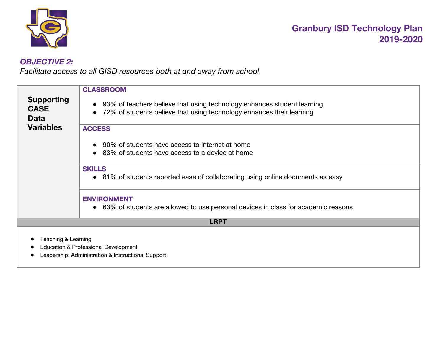

## *OBJECTIVE 2:*

*Facilitate access to all GISD resources both at and away from school*

| <b>Supporting</b><br><b>CASE</b><br><b>Data</b> | <b>CLASSROOM</b><br>93% of teachers believe that using technology enhances student learning<br>72% of students believe that using technology enhances their learning |
|-------------------------------------------------|----------------------------------------------------------------------------------------------------------------------------------------------------------------------|
| <b>Variables</b>                                | <b>ACCESS</b><br>90% of students have access to internet at home<br>83% of students have access to a device at home                                                  |
|                                                 | <b>SKILLS</b><br>• 81% of students reported ease of collaborating using online documents as easy                                                                     |
|                                                 | <b>ENVIRONMENT</b><br>• 63% of students are allowed to use personal devices in class for academic reasons                                                            |
|                                                 | <b>LRPT</b>                                                                                                                                                          |
| Teaching & Learning                             | Education & Professional Development<br>Leadership, Administration & Instructional Support                                                                           |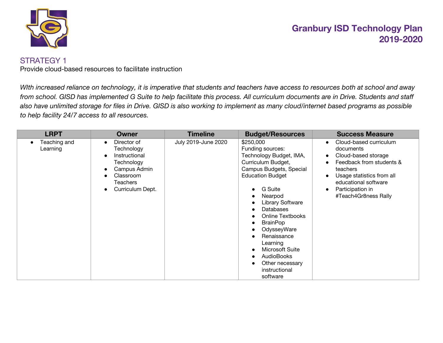

#### STRATEGY 1

Provide cloud-based resources to facilitate instruction

*WIth increased reliance on technology, it is imperative that students and teachers have access to resources both at school and away from school. GISD has implemented G Suite to help facilitate this process. All curriculum documents are in Drive. Students and staff also have unlimited storage for files in Drive. GISD is also working to implement as many cloud/internet based programs as possible to help facility 24/7 access to all resources.*

| <b>LRPT</b>              | Owner                                                                                                                                           | <b>Timeline</b>     | <b>Budget/Resources</b>                                                                                                                                                                                                                                                                                                                                                                                                                                                             | <b>Success Measure</b>                                                                                                                                                                                           |
|--------------------------|-------------------------------------------------------------------------------------------------------------------------------------------------|---------------------|-------------------------------------------------------------------------------------------------------------------------------------------------------------------------------------------------------------------------------------------------------------------------------------------------------------------------------------------------------------------------------------------------------------------------------------------------------------------------------------|------------------------------------------------------------------------------------------------------------------------------------------------------------------------------------------------------------------|
| Teaching and<br>Learning | Director of<br>$\bullet$<br>Technology<br>Instructional<br>Technology<br>Campus Admin<br>Classroom<br>Teachers<br>Curriculum Dept.<br>$\bullet$ | July 2019-June 2020 | \$250,000<br>Funding sources:<br>Technology Budget, IMA,<br>Curriculum Budget,<br>Campus Budgets, Special<br><b>Education Budget</b><br>G Suite<br>$\bullet$<br>Nearpod<br>$\bullet$<br>Library Software<br>$\bullet$<br><b>Databases</b><br>Online Textbooks<br><b>BrainPop</b><br>$\bullet$<br>OdysseyWare<br>$\bullet$<br>Renaissance<br>Learning<br>Microsoft Suite<br>$\bullet$<br><b>AudioBooks</b><br>$\bullet$<br>Other necessary<br>$\bullet$<br>instructional<br>software | Cloud-based curriculum<br>$\bullet$<br>documents<br>Cloud-based storage<br>Feedback from students &<br>teachers<br>Usage statistics from all<br>educational software<br>Participation in<br>#Teach4Gr8ness Rally |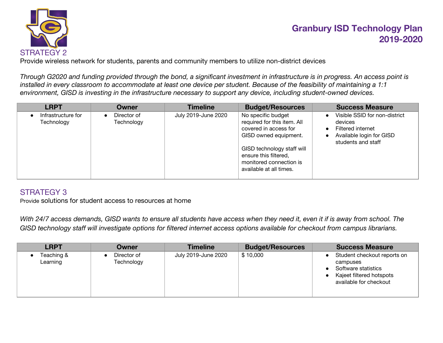

Provide wireless network for students, parents and community members to utilize non-district devices

*Through G2020 and funding provided through the bond, a significant investment in infrastructure is in progress. An access point is installed in every classroom to accommodate at least one device per student. Because of the feasibility of maintaining a 1:1 environment, GISD is investing in the infrastructure necessary to support any device, including student-owned devices.*

| <b>LRPT</b>                      | Owner                     | <b>Timeline</b>     | <b>Budget/Resources</b>                                                                                                                                                                                          | <b>Success Measure</b>                                                                                                                                 |
|----------------------------------|---------------------------|---------------------|------------------------------------------------------------------------------------------------------------------------------------------------------------------------------------------------------------------|--------------------------------------------------------------------------------------------------------------------------------------------------------|
| Infrastructure for<br>Technology | Director of<br>Technology | July 2019-June 2020 | No specific budget<br>required for this item. All<br>covered in access for<br>GISD owned equipment.<br>GISD technology staff will<br>ensure this filtered,<br>monitored connection is<br>available at all times. | Visible SSID for non-district<br>$\bullet$<br>devices<br>Filtered internet<br>$\bullet$<br>Available login for GISD<br>$\bullet$<br>students and staff |

## STRATEGY 3

Provide solutions for student access to resources at home

*With 24/7 access demands, GISD wants to ensure all students have access when they need it, even it if is away from school. The GISD technology staff will investigate options for filtered internet access options available for checkout from campus librarians.*

| <b>LRPT</b>            | Owner                     | <b>Timeline</b>     | <b>Budget/Resources</b> | <b>Success Measure</b>                                                                                               |
|------------------------|---------------------------|---------------------|-------------------------|----------------------------------------------------------------------------------------------------------------------|
| Teaching &<br>Learning | Director of<br>Technology | July 2019-June 2020 | \$10,000                | Student checkout reports on<br>campuses<br>Software statistics<br>Kajeet filtered hotspots<br>available for checkout |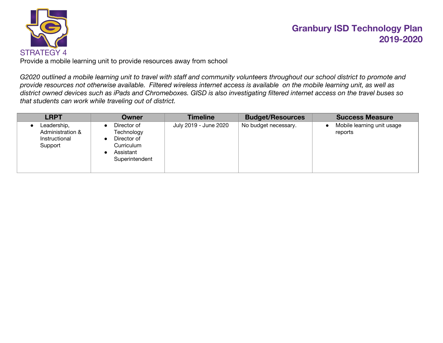

Provide a mobile learning unit to provide resources away from school

*G2020 outlined a mobile learning unit to travel with staff and community volunteers throughout our school district to promote and provide resources not otherwise available. Filtered wireless internet access is available on the mobile learning unit, as well as district owned devices such as iPads and Chromeboxes. GISD is also investigating filtered internet access on the travel buses so that students can work while traveling out of district.*

| <b>LRPT</b>                                                 | Owner                                                                                                           | <b>Timeline</b>       | <b>Budget/Resources</b> | <b>Success Measure</b>                |
|-------------------------------------------------------------|-----------------------------------------------------------------------------------------------------------------|-----------------------|-------------------------|---------------------------------------|
| Leadership,<br>Administration &<br>Instructional<br>Support | Director of<br>Technology<br>Director of<br>$\bullet$<br>Curriculum<br>Assistant<br>$\bullet$<br>Superintendent | July 2019 - June 2020 | No budget necessary.    | Mobile learning unit usage<br>reports |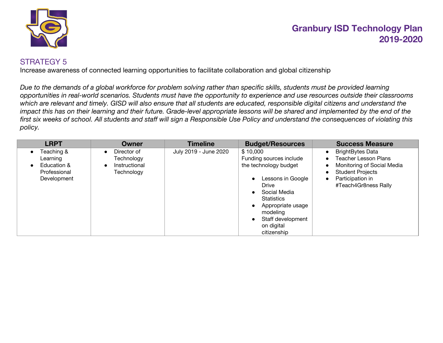

## STRATEGY 5

Increase awareness of connected learning opportunities to facilitate collaboration and global citizenship

*Due to the demands of a global workforce for problem solving rather than specific skills, students must be provided learning opportunities in real-world scenarios. Students must have the opportunity to experience and use resources outside their classrooms which are relevant and timely. GISD will also ensure that all students are educated, responsible digital citizens and understand the* impact this has on their learning and their future. Grade-level appropriate lessons will be shared and implemented by the end of the *first six weeks of school. All students and staff will sign a Responsible Use Policy and understand the consequences of violating this policy.*

| <b>LRPT</b>                                                          | <b>Owner</b>                                                                       | <b>Timeline</b>       | <b>Budget/Resources</b>                                                                                                                                                                                            | <b>Success Measure</b>                                                                                                                                                                                          |
|----------------------------------------------------------------------|------------------------------------------------------------------------------------|-----------------------|--------------------------------------------------------------------------------------------------------------------------------------------------------------------------------------------------------------------|-----------------------------------------------------------------------------------------------------------------------------------------------------------------------------------------------------------------|
| Teaching &<br>Learning<br>Education &<br>Professional<br>Development | Director of<br>$\bullet$<br>Technology<br>Instructional<br>$\bullet$<br>Technology | July 2019 - June 2020 | \$10,000<br>Funding sources include<br>the technology budget<br>Lessons in Google<br>Drive<br>Social Media<br><b>Statistics</b><br>Appropriate usage<br>modeling<br>Staff development<br>on digital<br>citizenship | <b>BrightBytes Data</b><br>$\bullet$<br><b>Teacher Lesson Plans</b><br>Monitoring of Social Media<br>$\bullet$<br><b>Student Projects</b><br>$\bullet$<br>Participation in<br>$\bullet$<br>#Teach4Gr8ness Rally |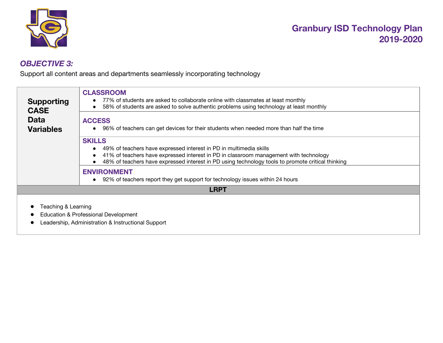

## *OBJECTIVE 3:*

Support all content areas and departments seamlessly incorporating technology

| <b>Supporting</b><br><b>CASE</b> | <b>CLASSROOM</b><br>77% of students are asked to collaborate online with classmates at least monthly<br>58% of students are asked to solve authentic problems using technology at least monthly |
|----------------------------------|-------------------------------------------------------------------------------------------------------------------------------------------------------------------------------------------------|
| <b>Data</b><br><b>Variables</b>  | <b>ACCESS</b><br>96% of teachers can get devices for their students when needed more than half the time                                                                                         |
|                                  | <b>SKILLS</b><br>49% of teachers have expressed interest in PD in multimedia skills                                                                                                             |
|                                  | 41% of teachers have expressed interest in PD in classroom management with technology<br>48% of teachers have expressed interest in PD using technology tools to promote critical thinking      |
|                                  | <b>ENVIRONMENT</b><br>92% of teachers report they get support for technology issues within 24 hours                                                                                             |
|                                  | <b>LRPT</b>                                                                                                                                                                                     |
| Teaching & Learning              | Education & Professional Development<br>Leadership, Administration & Instructional Support                                                                                                      |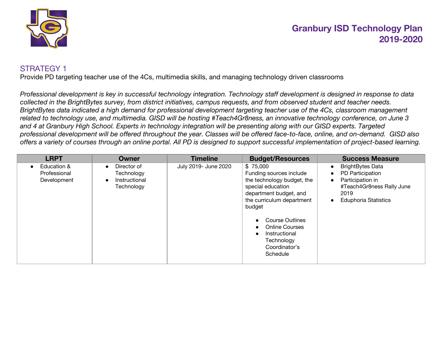

## STRATEGY 1

Provide PD targeting teacher use of the 4Cs, multimedia skills, and managing technology driven classrooms

*Professional development is key in successful technology integration. Technology staff development is designed in response to data collected in the BrightBytes survey, from district initiatives, campus requests, and from observed student and teacher needs. BrightBytes data indicated a high demand for professional development targeting teacher use of the 4Cs, classroom management related to technology use, and multimedia. GISD will be hosting #Teach4Gr8ness, an innovative technology conference, on June 3 and 4 at Granbury High School. Experts in technology integration will be presenting along with our GISD experts. Targeted professional development will be offered throughout the year. Classes will be offered face-to-face, online, and on-demand. GISD also offers a variety of courses through an online portal. All PD is designed to support successful implementation of project-based learning.*

| <b>LRPT</b>                                | Owner                                                                              | <b>Timeline</b>      | <b>Budget/Resources</b>                                                                                                                                                                                                                                                | <b>Success Measure</b>                                                                                                                           |
|--------------------------------------------|------------------------------------------------------------------------------------|----------------------|------------------------------------------------------------------------------------------------------------------------------------------------------------------------------------------------------------------------------------------------------------------------|--------------------------------------------------------------------------------------------------------------------------------------------------|
| Education &<br>Professional<br>Development | Director of<br>$\bullet$<br>Technology<br>Instructional<br>$\bullet$<br>Technology | July 2019- June 2020 | \$75,000<br>Funding sources include<br>the technology budget, the<br>special education<br>department budget, and<br>the curriculum department<br>budget<br><b>Course Outlines</b><br><b>Online Courses</b><br>Instructional<br>Technology<br>Coordinator's<br>Schedule | <b>BrightBytes Data</b><br>PD Participation<br>Participation in<br>$\bullet$<br>#Teach4Gr8ness Rally June<br>2019<br><b>Eduphoria Statistics</b> |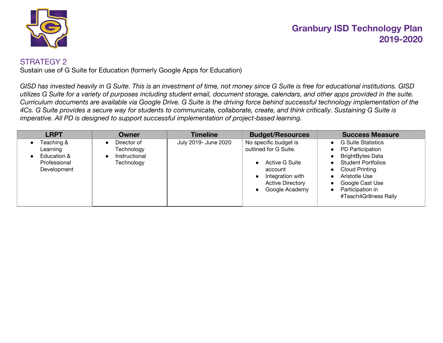

#### STRATEGY 2

Sustain use of G Suite for Education (formerly Google Apps for Education)

*GISD has invested heavily in G Suite. This is an investment of time, not money since G Suite is free for educational institutions. GISD utilizes G Suite for a variety of purposes including student email, document storage, calendars, and other apps provided in the suite. Curriculum documents are available via Google Drive. G Suite is the driving force behind successful technology implementation of the 4Cs. G Suite provides a secure way for students to communicate, collaborate, create, and think critically. Sustaining G Suite is imperative. All PD is designed to support successful implementation of project-based learning.*

| <b>LRPT</b>                                                          | Owner                                                    | <b>Timeline</b>      | <b>Budget/Resources</b>                                                                                                                                                                    | <b>Success Measure</b>                                                                                                                                                                                                                                                                       |
|----------------------------------------------------------------------|----------------------------------------------------------|----------------------|--------------------------------------------------------------------------------------------------------------------------------------------------------------------------------------------|----------------------------------------------------------------------------------------------------------------------------------------------------------------------------------------------------------------------------------------------------------------------------------------------|
| Teaching &<br>Learning<br>Education &<br>Professional<br>Development | Director of<br>Technology<br>Instructional<br>Technology | July 2019- June 2020 | No specific budget is<br>outlined for G Suite.<br><b>Active G Suite</b><br>$\bullet$<br>account<br>Integration with<br>$\bullet$<br><b>Active Directory</b><br>Google Academy<br>$\bullet$ | <b>G Suite Statistics</b><br>PD Participation<br>$\bullet$<br><b>BrightBytes Data</b><br><b>Student Portfolios</b><br>$\bullet$<br><b>Cloud Printing</b><br>$\bullet$<br>Aristotle Use<br>$\bullet$<br>Google Cast Use<br>$\bullet$<br>Participation in<br>$\bullet$<br>#Teach4Gr8ness Rally |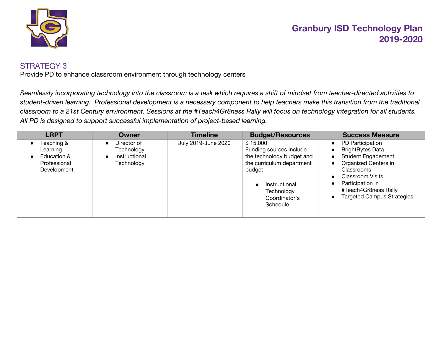

#### STRATEGY 3

Provide PD to enhance classroom environment through technology centers

*Seamlessly incorporating technology into the classroom is a task which requires a shift of mindset from teacher-directed activities to student-driven learning. Professional development is a necessary component to help teachers make this transition from the traditional classroom to a 21st Century environment. Sessions at the #Teach4Gr8ness Rally will focus on technology integration for all students. All PD is designed to support successful implementation of project-based learning.*

| <b>LRPT</b>                                                          | Owner                                                    | <b>Timeline</b>     | <b>Budget/Resources</b>                                                                                                                                             | <b>Success Measure</b>                                                                                                                                                                                                            |
|----------------------------------------------------------------------|----------------------------------------------------------|---------------------|---------------------------------------------------------------------------------------------------------------------------------------------------------------------|-----------------------------------------------------------------------------------------------------------------------------------------------------------------------------------------------------------------------------------|
| Teaching &<br>Learning<br>Education &<br>Professional<br>Development | Director of<br>Technology<br>Instructional<br>Technology | July 2019-June 2020 | \$15,000<br>Funding sources include<br>the technology budget and<br>the curriculum department<br>budget<br>Instructional<br>Technology<br>Coordinator's<br>Schedule | PD Participation<br><b>BrightBytes Data</b><br><b>Student Engagement</b><br><b>Organized Centers in</b><br>Classrooms<br><b>Classroom Visits</b><br>Participation in<br>#Teach4Gr8ness Rally<br><b>Targeted Campus Strategies</b> |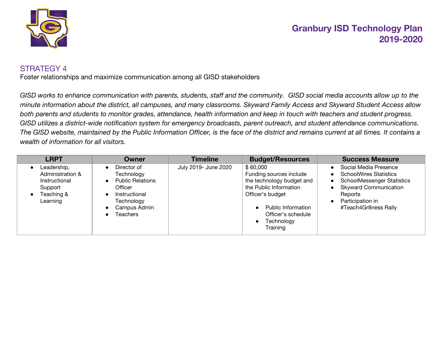

## STRATEGY 4

Foster relationships and maximize communication among all GISD stakeholders

*GISD works to enhance communication with parents, students, staff and the community. GISD social media accounts allow up to the minute information about the district, all campuses, and many classrooms. Skyward Family Access and Skyward Student Access allow both parents and students to monitor grades, attendance, health information and keep in touch with teachers and student progress. GISD utilizes a district-wide notification system for emergency broadcasts, parent outreach, and student attendance communications. The GISD website, maintained by the Public Information Officer, is the face of the district and remains current at all times. It contains a wealth of information for all visitors.*

| <b>LRPT</b>                                                                                                     | Owner                                                                                                                                                       | <b>Timeline</b>      | <b>Budget/Resources</b>                                                                                                                                                              | <b>Success Measure</b>                                                                                                                                                                                                    |
|-----------------------------------------------------------------------------------------------------------------|-------------------------------------------------------------------------------------------------------------------------------------------------------------|----------------------|--------------------------------------------------------------------------------------------------------------------------------------------------------------------------------------|---------------------------------------------------------------------------------------------------------------------------------------------------------------------------------------------------------------------------|
| Leadership,<br>$\bullet$<br>Administration &<br>Instructional<br>Support<br>Teaching &<br>$\bullet$<br>Learning | Director of<br>$\bullet$<br>Technology<br><b>Public Relations</b><br>$\bullet$<br>Officer<br>Instructional<br>Technology<br>Campus Admin<br><b>Teachers</b> | July 2019- June 2020 | \$60,000<br>Funding sources include<br>the technology budget and<br>the Public Information<br>Officer's budget<br>Public Information<br>Officer's schedule<br>Technology<br>Training | Social Media Presence<br><b>SchoolWires Statistics</b><br>$\bullet$<br><b>SchoolMessenger Statistics</b><br>$\bullet$<br><b>Skyward Communication</b><br>$\bullet$<br>Reports<br>Participation in<br>#Teach4Gr8ness Rally |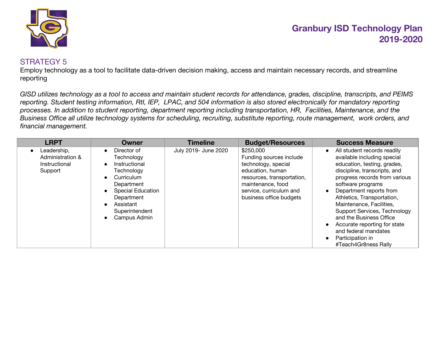

## STRATEGY 5

Employ technology as a tool to facilitate data-driven decision making, access and maintain necessary records, and streamline reporting

*GISD utilizes technology as a tool to access and maintain student records for attendance, grades, discipline, transcripts, and PEIMS reporting. Student testing information, RtI, IEP, LPAC, and 504 information is also stored electronically for mandatory reporting processes. In addition to student reporting, department reporting including transportation, HR, Facilities, Maintenance, and the Business Office all utilize technology systems for scheduling, recruiting, substitute reporting, route management, work orders, and financial management.*

| <b>LRPT</b>                                                              | Owner                                                                                                                                                                                                                                          | <b>Timeline</b>      | <b>Budget/Resources</b>                                                                                                                                                                  | <b>Success Measure</b>                                                                                                                                                                                                                                                                                                                                                                                                                                                                  |
|--------------------------------------------------------------------------|------------------------------------------------------------------------------------------------------------------------------------------------------------------------------------------------------------------------------------------------|----------------------|------------------------------------------------------------------------------------------------------------------------------------------------------------------------------------------|-----------------------------------------------------------------------------------------------------------------------------------------------------------------------------------------------------------------------------------------------------------------------------------------------------------------------------------------------------------------------------------------------------------------------------------------------------------------------------------------|
| Leadership,<br>$\bullet$<br>Administration &<br>Instructional<br>Support | Director of<br>$\bullet$<br>Technology<br>Instructional<br>$\bullet$<br>Technology<br>Curriculum<br>$\bullet$<br>Department<br><b>Special Education</b><br>$\bullet$<br>Department<br>Assistant<br>Superintendent<br>Campus Admin<br>$\bullet$ | July 2019- June 2020 | \$250,000<br>Funding sources include<br>technology, special<br>education, human<br>resources, transportation,<br>maintenance, food<br>service, curriculum and<br>business office budgets | All student records readily<br>$\bullet$<br>available including special<br>education, testing, grades,<br>discipline, transcripts, and<br>progress records from various<br>software programs<br>Department reports from<br>$\bullet$<br>Athletics, Transportation,<br>Maintenance, Facilities,<br>Support Services, Technology<br>and the Business Office<br>Accurate reporting for state<br>$\bullet$<br>and federal mandates<br>Participation in<br>$\bullet$<br>#Teach4Gr8ness Rally |